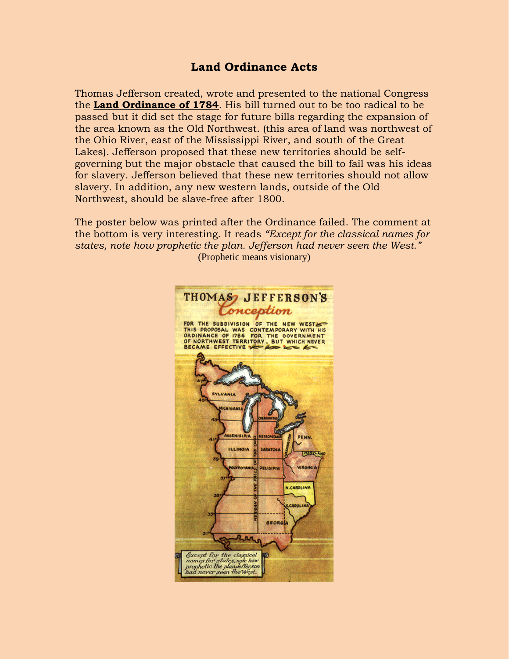## **Land Ordinance Acts**

Thomas Jefferson created, wrote and presented to the national Congress the **Land Ordinance of 1784**. His bill turned out to be too radical to be passed but it did set the stage for future bills regarding the expansion of the area known as the Old Northwest. (this area of land was northwest of the Ohio River, east of the Mississippi River, and south of the Great Lakes). Jefferson proposed that these new territories should be selfgoverning but the major obstacle that caused the bill to fail was his ideas for slavery. Jefferson believed that these new territories should not allow slavery. In addition, any new western lands, outside of the Old Northwest, should be slave-free after 1800.

The poster below was printed after the Ordinance failed. The comment at the bottom is very interesting. It reads *"Except for the classical names for states, note how prophetic the plan. Jefferson had never seen the West."* (Prophetic means visionary)

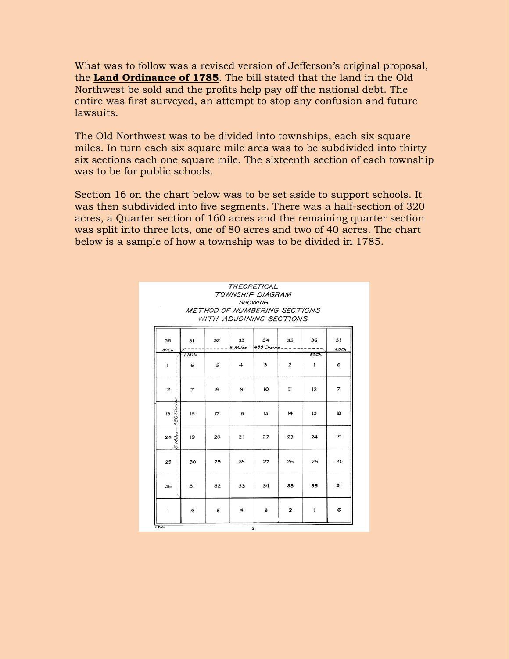What was to follow was a revised version of Jefferson's original proposal, the **Land Ordinance of 1785**. The bill stated that the land in the Old Northwest be sold and the profits help pay off the national debt. The entire was first surveyed, an attempt to stop any confusion and future lawsuits.

The Old Northwest was to be divided into townships, each six square miles. In turn each six square mile area was to be subdivided into thirty six sections each one square mile. The sixteenth section of each township was to be for public schools.

Section 16 on the chart below was to be set aside to support schools. It was then subdivided into five segments. There was a half-section of 320 acres, a Quarter section of 160 acres and the remaining quarter section was split into three lots, one of 80 acres and two of 40 acres. The chart below is a sample of how a township was to be divided in 1785.

|                           | <b>THEORETICAL</b><br>TOWNSHIP DIAGRAM<br><b>SHOWING</b><br>METHOD OF NUMBERING SECTIONS<br>WITH ADJOINING SECTIONS |    |              |                                    |                |                       |             |  |
|---------------------------|---------------------------------------------------------------------------------------------------------------------|----|--------------|------------------------------------|----------------|-----------------------|-------------|--|
| 36<br>80Ch.               | 31                                                                                                                  | 32 | 33           | 34<br>$6$ Miles $-$ 480 Chains $-$ | 35             | 36                    | 31<br>80Ch. |  |
| $\mathbf{I}$              | / Mile<br>6                                                                                                         | 5  | 4            | з                                  | $\overline{2}$ | 80Ch.<br>$\mathbf{I}$ | 6           |  |
| 12                        | 7                                                                                                                   | 8  | $\mathbf{9}$ | 10                                 | $_{II}$        | 12                    | 7           |  |
| $rac{1}{2}$<br>480 Chains | 18                                                                                                                  | 17 | 16           | 15                                 | 14             | 13                    | iΒ          |  |
| $rac{24}{5}$ $rac{60}{5}$ | 19                                                                                                                  | 20 | 21           | 22                                 | 23             | 24                    | 19          |  |
| 25                        | 30                                                                                                                  | 29 | 28           | 27                                 | 26             | 25                    | 30          |  |
| 36                        | 31                                                                                                                  | 32 | 33           | 34                                 | 35             | 36                    | 31          |  |
| ı                         | 6                                                                                                                   | 5  | 4            | з                                  | $\overline{2}$ | $\mathbf{I}$          | 6           |  |